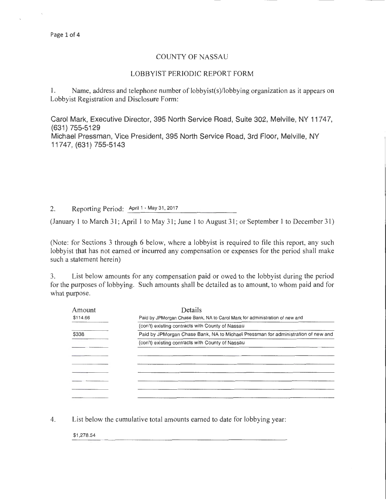## COUNTY OF NASSAU

## LOBBYIST PERIODIC REPORT FORM

1. Name, address and telephone number of lobbyist(s)/lobbying organization as it appears on Lobbyist Registration and Disclosure Form:

Carol Mark, Executive Director, 395 North Service Road, Suite 302, Melville, NY 11747, (631) 755-5129 Michael Pressman, Vice President, 395 North Service Road, 3rd Floor, Melville, NY 11747, (631) 755-5143

2. Reporting Period: April 1 - May 31, 2017

(January 1 to March 31; April I to May 31; June 1 to August 31; or September 1 to December 31)

(Note: for Sections 3 through 6 below, where a lobbyist is required to file this report, any such lobbyist that has not earned or incurred any compensation or expenses for the period shall make such a statement herein)

3. List below amounts for any compensation paid or owed to the lobbyist during the period for the purposes of lobbying. Such amounts shall be detailed as to amount, to whom paid and for what purpose.

| Amount   | Details                                                                           |  |  |  |
|----------|-----------------------------------------------------------------------------------|--|--|--|
| \$114.66 | Paid by JPMorgan Chase Bank, NA to Carol Mark for administration of new and       |  |  |  |
|          | (con't) existing contracts with County of Nassau                                  |  |  |  |
| \$338    | Paid by JPMorgan Chase Bank, NA to Michael Pressman for administration of new and |  |  |  |
|          | (con't) existing contracts with County of Nassau                                  |  |  |  |
|          |                                                                                   |  |  |  |
|          |                                                                                   |  |  |  |
|          |                                                                                   |  |  |  |
|          |                                                                                   |  |  |  |
|          |                                                                                   |  |  |  |
|          |                                                                                   |  |  |  |
|          |                                                                                   |  |  |  |

4. List below the cumulative total amounts earned to date for lobbying year:

\$1,278.54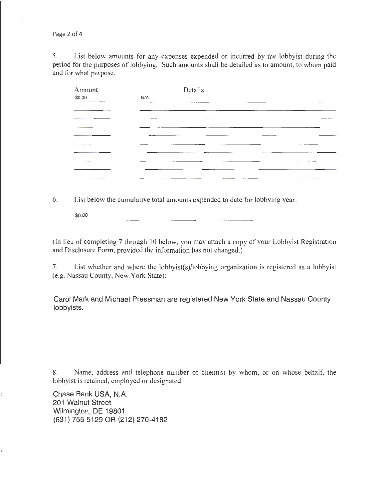Page 2 of 4

5. List below amounts for any expenses expended or incurred by the lobbyist during the period for the purposes of lobbying. Such amounts shall be detailed as to amount, to whom paid and for what purpose.

| Amount | Details |  |  |  |
|--------|---------|--|--|--|
| \$0.00 | N/A     |  |  |  |
|        |         |  |  |  |
|        |         |  |  |  |
|        |         |  |  |  |
|        |         |  |  |  |
|        |         |  |  |  |
|        |         |  |  |  |
|        |         |  |  |  |
|        |         |  |  |  |
|        |         |  |  |  |
|        |         |  |  |  |

6. List below the cumulative total amounts expended to date for lobbying year:

\$0.00

(In lieu of completing 7 through 10 below, you may attach a copy of your Lobbyist Registration and Disclosure Form, provided the information has not changed.)

7. List whether and where the lobbyist(s)/lobbying organization is registered as a lobbyist (e.g. Nassau County, New York State):

Carol Mark and Michael Pressman are registered New York State and Nassau County lobbyists.

8. Name, address and telephone number of client(s) by whom, or on whose behalf, the lobbyist is retained, employed or designated.

Chase Bank USA, N.A. 201 Walnut Street Wilmington, DE 19801 (631) 755-5129 OR (212) 270-4182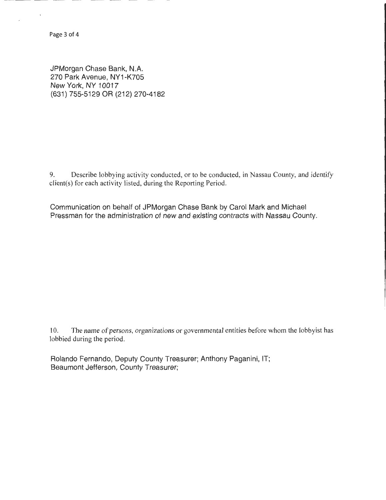JPMorgan Chase Bank, N.A. 270 Park Avenue, NY1-K705 New York, NY 10017 (631) 755-5129 OR (212) 270-4182

9. Describe lobbying activity conducted, or to be conducted, in Nassau County, and identify client(s) for each activity listed, during the Reporting Period.

Communication on behalf of JPMorgan Chase Bank by Carol Mark and Michael Pressman for the administration of new and existing contracts with Nassau County.

10. The name of persons, organizations or governmental entities before whom the lobbyist has lobbied during the period.

Rolando Fernando, Deputy County Treasurer; Anthony Paganini, IT; Beaumont Jefferson, County Treasurer;